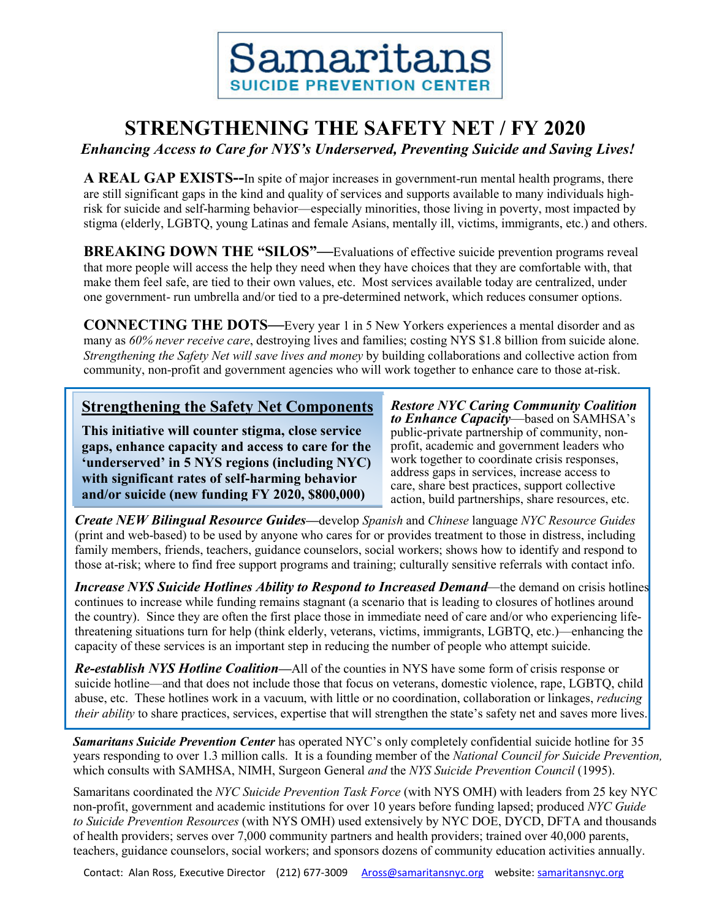

## **STRENGTHENING THE SAFETY NET / FY 2020**

*Enhancing Access to Care for NYS's Underserved, Preventing Suicide and Saving Lives!*

**A REAL GAP EXISTS--**In spite of major increases in government-run mental health programs, there are still significant gaps in the kind and quality of services and supports available to many individuals highrisk for suicide and self-harming behavior—especially minorities, those living in poverty, most impacted by stigma (elderly, LGBTQ, young Latinas and female Asians, mentally ill, victims, immigrants, etc.) and others.

**BREAKING DOWN THE "SILOS"—Evaluations of effective suicide prevention programs reveal** that more people will access the help they need when they have choices that they are comfortable with, that make them feel safe, are tied to their own values, etc. Most services available today are centralized, under one government- run umbrella and/or tied to a pre-determined network, which reduces consumer options.

**CONNECTING THE DOTS—**Every year 1 in 5 New Yorkers experiences a mental disorder and as many as *60% never receive care*, destroying lives and families; costing NYS \$1.8 billion from suicide alone. *Strengthening the Safety Net will save lives and money* by building collaborations and collective action from community, non-profit and government agencies who will work together to enhance care to those at-risk.

#### **Strengthening the Safety Net Components**

**This initiative will counter stigma, close service gaps, enhance capacity and access to care for the 'underserved' in 5 NYS regions (including NYC) with significant rates of self-harming behavior and/or suicide (new funding FY 2020, \$800,000)**

*Restore NYC Caring Community Coalition to Enhance Capacity*—based on SAMHSA's public-private partnership of community, nonprofit, academic and government leaders who work together to coordinate crisis responses, address gaps in services, increase access to care, share best practices, support collective action, build partnerships, share resources, etc.

*Create NEW Bilingual Resource Guides—*develop *Spanish* and *Chinese* language *NYC Resource Guides* (print and web-based) to be used by anyone who cares for or provides treatment to those in distress, including family members, friends, teachers, guidance counselors, social workers; shows how to identify and respond to those at-risk; where to find free support programs and training; culturally sensitive referrals with contact info.

*Increase NYS Suicide Hotlines Ability to Respond to Increased Demand—*the demand on crisis hotlines continues to increase while funding remains stagnant (a scenario that is leading to closures of hotlines around the country). Since they are often the first place those in immediate need of care and/or who experiencing lifethreatening situations turn for help (think elderly, veterans, victims, immigrants, LGBTQ, etc.)—enhancing the capacity of these services is an important step in reducing the number of people who attempt suicide.

*Re-establish NYS Hotline Coalition—*All of the counties in NYS have some form of crisis response or suicide hotline—and that does not include those that focus on veterans, domestic violence, rape, LGBTQ, child abuse, etc. These hotlines work in a vacuum, with little or no coordination, collaboration or linkages, *reducing their ability* to share practices, services, expertise that will strengthen the state's safety net and saves more lives.

*Samaritans Suicide Prevention Center* has operated NYC's only completely confidential suicide hotline for 35 years responding to over 1.3 million calls. It is a founding member of the *National Council for Suicide Prevention,* which consults with SAMHSA, NIMH, Surgeon General *and* the *NYS Suicide Prevention Council* (1995).

Samaritans coordinated the *NYC Suicide Prevention Task Force* (with NYS OMH) with leaders from 25 key NYC non-profit, government and academic institutions for over 10 years before funding lapsed; produced *NYC Guide to Suicide Prevention Resources* (with NYS OMH) used extensively by NYC DOE, DYCD, DFTA and thousands of health providers; serves over 7,000 community partners and health providers; trained over 40,000 parents, teachers, guidance counselors, social workers; and sponsors dozens of community education activities annually.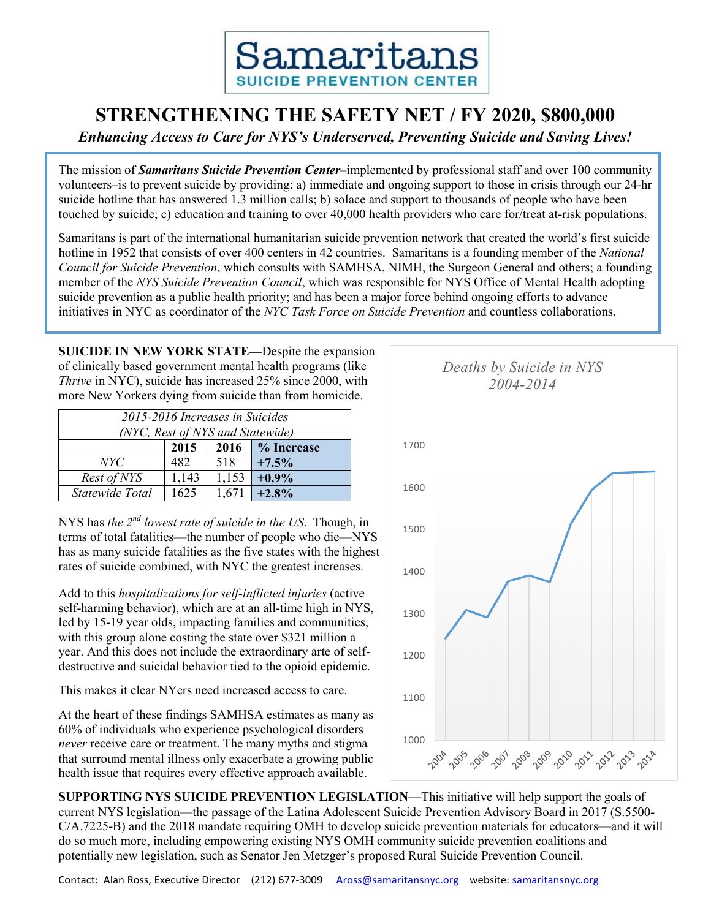### **STRENGTHENING THE SAFETY NET / FY 2020, \$800,000**

*Enhancing Access to Care for NYS's Underserved, Preventing Suicide and Saving Lives!*

The mission of *Samaritans Suicide Prevention Center*–implemented by professional staff and over 100 community volunteers–is to prevent suicide by providing: a) immediate and ongoing support to those in crisis through our 24-hr suicide hotline that has answered 1.3 million calls; b) solace and support to thousands of people who have been touched by suicide; c) education and training to over 40,000 health providers who care for/treat at-risk populations.

Samaritans is part of the international humanitarian suicide prevention network that created the world's first suicide hotline in 1952 that consists of over 400 centers in 42 countries. Samaritans is a founding member of the *National Council for Suicide Prevention*, which consults with SAMHSA, NIMH, the Surgeon General and others; a founding member of the *NYS Suicide Prevention Council*, which was responsible for NYS Office of Mental Health adopting suicide prevention as a public health priority; and has been a major force behind ongoing efforts to advance initiatives in NYC as coordinator of the *NYC Task Force on Suicide Prevention* and countless collaborations.

**SUICIDE IN NEW YORK STATE—**Despite the expansion of clinically based government mental health programs (like *Thrive* in NYC), suicide has increased 25% since 2000, with more New Yorkers dying from suicide than from homicide.

| 2015-2016 Increases in Suicides<br>(NYC, Rest of NYS and Statewide) |       |       |            |  |  |  |
|---------------------------------------------------------------------|-------|-------|------------|--|--|--|
| 2015                                                                |       | 2016  | % Increase |  |  |  |
| NYC <sup>-</sup>                                                    | 482   | 518   | $+7.5%$    |  |  |  |
| Rest of NYS                                                         | 1,143 | 1,153 | $+0.9\%$   |  |  |  |
| Statewide Total                                                     | 1625  | -671  | $+2.8%$    |  |  |  |

NYS has *the 2nd lowest rate of suicide in the US*. Though, in terms of total fatalities—the number of people who die—NYS has as many suicide fatalities as the five states with the highest rates of suicide combined, with NYC the greatest increases.

Add to this *hospitalizations for self-inflicted injuries* (active self-harming behavior), which are at an all-time high in NYS, led by 15-19 year olds, impacting families and communities, with this group alone costing the state over \$321 million a year. And this does not include the extraordinary arte of selfdestructive and suicidal behavior tied to the opioid epidemic.

This makes it clear NYers need increased access to care.

At the heart of these findings SAMHSA estimates as many as 60% of individuals who experience psychological disorders *never* receive care or treatment. The many myths and stigma that surround mental illness only exacerbate a growing public health issue that requires every effective approach available.



**SUPPORTING NYS SUICIDE PREVENTION LEGISLATION—**This initiative will help support the goals of current NYS legislation—the passage of the Latina Adolescent Suicide Prevention Advisory Board in 2017 (S.5500- C/A.7225-B) and the 2018 mandate requiring OMH to develop suicide prevention materials for educators—and it will do so much more, including empowering existing NYS OMH community suicide prevention coalitions and potentially new legislation, such as Senator Jen Metzger's proposed Rural Suicide Prevention Council.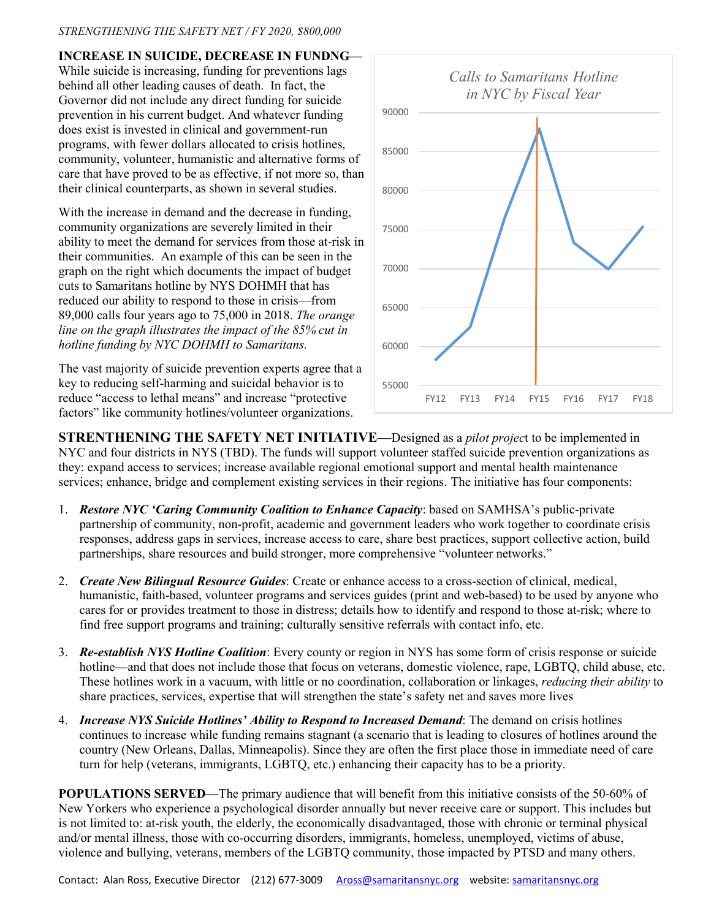#### *STRENGTHENING THE SAFETY NET / FY 2020, \$800,000*

**INCREASE IN SUICIDE, DECREASE IN FUNDNG**—

While suicide is increasing, funding for preventions lags behind all other leading causes of death. In fact, the Governor did not include any direct funding for suicide prevention in his current budget. And whatevcr funding does exist is invested in clinical and government-run programs, with fewer dollars allocated to crisis hotlines, community, volunteer, humanistic and alternative forms of care that have proved to be as effective, if not more so, than their clinical counterparts, as shown in several studies.

With the increase in demand and the decrease in funding, community organizations are severely limited in their ability to meet the demand for services from those at-risk in their communities. An example of this can be seen in the graph on the right which documents the impact of budget cuts to Samaritans hotline by NYS DOHMH that has reduced our ability to respond to those in crisis—from 89,000 calls four years ago to 75,000 in 2018. *The orange line on the graph illustrates the impact of the 85% cut in hotline funding by NYC DOHMH to Samaritans.*

The vast majority of suicide prevention experts agree that a key to reducing self-harming and suicidal behavior is to reduce "access to lethal means" and increase "protective factors" like community hotlines/volunteer organizations.



**STRENTHENING THE SAFETY NET INITIATIVE—**Designed as a *pilot projec*t to be implemented in NYC and four districts in NYS (TBD). The funds will support volunteer staffed suicide prevention organizations as they: expand access to services; increase available regional emotional support and mental health maintenance services; enhance, bridge and complement existing services in their regions. The initiative has four components:

- 1. *Restore NYC 'Caring Community Coalition to Enhance Capacity*: based on SAMHSA's public-private partnership of community, non-profit, academic and government leaders who work together to coordinate crisis responses, address gaps in services, increase access to care, share best practices, support collective action, build partnerships, share resources and build stronger, more comprehensive "volunteer networks."
- 2. *Create New Bilingual Resource Guides*: Create or enhance access to a cross-section of clinical, medical, humanistic, faith-based, volunteer programs and services guides (print and web-based) to be used by anyone who cares for or provides treatment to those in distress; details how to identify and respond to those at-risk; where to find free support programs and training; culturally sensitive referrals with contact info, etc.
- 3. *Re-establish NYS Hotline Coalition*: Every county or region in NYS has some form of crisis response or suicide hotline—and that does not include those that focus on veterans, domestic violence, rape, LGBTO, child abuse, etc. These hotlines work in a vacuum, with little or no coordination, collaboration or linkages, *reducing their ability* to share practices, services, expertise that will strengthen the state's safety net and saves more lives
- 4. *Increase NYS Suicide Hotlines' Ability to Respond to Increased Demand*: The demand on crisis hotlines continues to increase while funding remains stagnant (a scenario that is leading to closures of hotlines around the country (New Orleans, Dallas, Minneapolis). Since they are often the first place those in immediate need of care turn for help (veterans, immigrants, LGBTQ, etc.) enhancing their capacity has to be a priority.

**POPULATIONS SERVED—The primary audience that will benefit from this initiative consists of the 50-60% of** New Yorkers who experience a psychological disorder annually but never receive care or support. This includes but is not limited to: at-risk youth, the elderly, the economically disadvantaged, those with chronic or terminal physical and/or mental illness, those with co-occurring disorders, immigrants, homeless, unemployed, victims of abuse, violence and bullying, veterans, members of the LGBTQ community, those impacted by PTSD and many others.